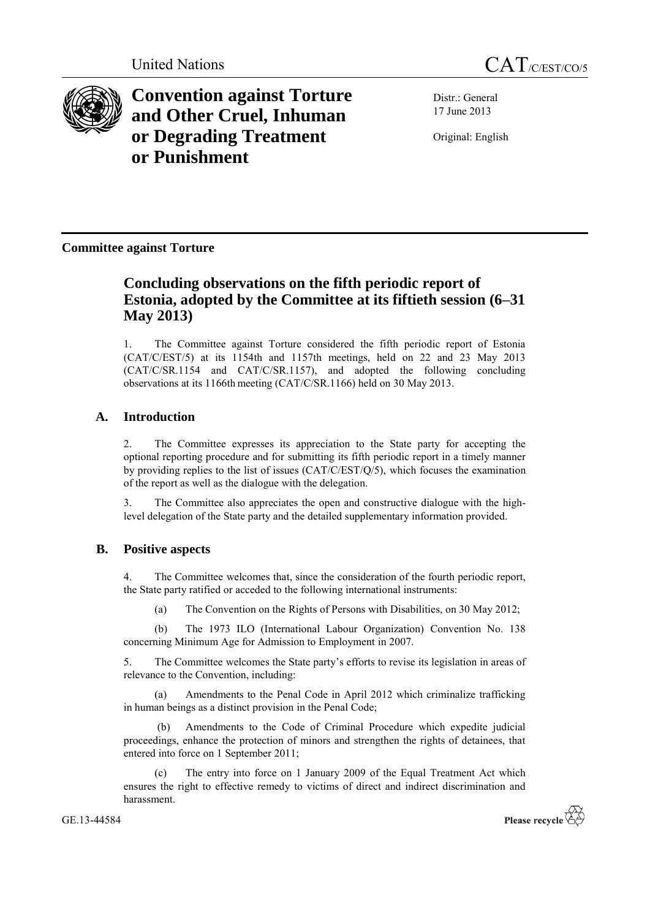



**Convention against Torture and Other Cruel, Inhuman or Degrading Treatment or Punishment**

Distr.: General 17 June 2013

Original: English

## **Committee against Torture**

# **Concluding observations on the fifth periodic report of Estonia, adopted by the Committee at its fiftieth session (6–31 May 2013)**

1. The Committee against Torture considered the fifth periodic report of Estonia (CAT/C/EST/5) at its 1154th and 1157th meetings, held on 22 and 23 May 2013 (CAT/C/SR.1154 and CAT/C/SR.1157), and adopted the following concluding observations at its 1166th meeting (CAT/C/SR.1166) held on 30 May 2013.

## **A. Introduction**

2. The Committee expresses its appreciation to the State party for accepting the optional reporting procedure and for submitting its fifth periodic report in a timely manner by providing replies to the list of issues (CAT/C/EST/Q/5), which focuses the examination of the report as well as the dialogue with the delegation.

3. The Committee also appreciates the open and constructive dialogue with the highlevel delegation of the State party and the detailed supplementary information provided.

## **B. Positive aspects**

4. The Committee welcomes that, since the consideration of the fourth periodic report, the State party ratified or acceded to the following international instruments:

(a) The Convention on the Rights of Persons with Disabilities, on 30 May 2012;

(b) The 1973 ILO (International Labour Organization) Convention No. 138 concerning Minimum Age for Admission to Employment in 2007.

5. The Committee welcomes the State party's efforts to revise its legislation in areas of relevance to the Convention, including:

(a) Amendments to the Penal Code in April 2012 which criminalize trafficking in human beings as a distinct provision in the Penal Code;

Amendments to the Code of Criminal Procedure which expedite judicial proceedings, enhance the protection of minors and strengthen the rights of detainees, that entered into force on 1 September 2011;

(c) The entry into force on 1 January 2009 of the Equal Treatment Act which ensures the right to effective remedy to victims of direct and indirect discrimination and harassment.

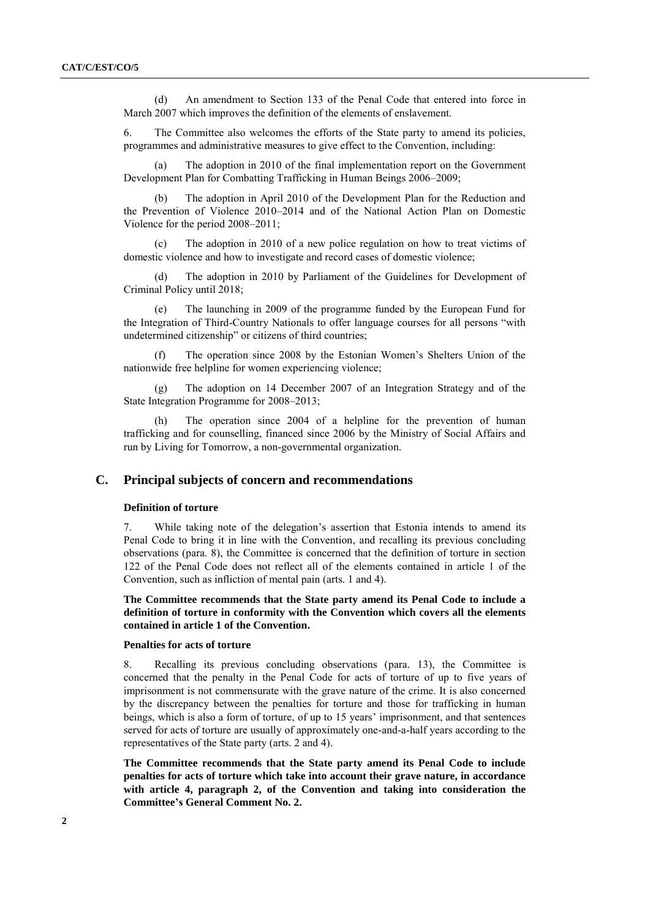(d) An amendment to Section 133 of the Penal Code that entered into force in March 2007 which improves the definition of the elements of enslavement.

6. The Committee also welcomes the efforts of the State party to amend its policies, programmes and administrative measures to give effect to the Convention, including:

The adoption in 2010 of the final implementation report on the Government Development Plan for Combatting Trafficking in Human Beings 2006–2009;

(b) The adoption in April 2010 of the Development Plan for the Reduction and the Prevention of Violence 2010–2014 and of the National Action Plan on Domestic Violence for the period 2008–2011;

(c) The adoption in 2010 of a new police regulation on how to treat victims of domestic violence and how to investigate and record cases of domestic violence;

(d) The adoption in 2010 by Parliament of the Guidelines for Development of Criminal Policy until 2018;

The launching in 2009 of the programme funded by the European Fund for the Integration of Third-Country Nationals to offer language courses for all persons "with undetermined citizenship" or citizens of third countries;

(f) The operation since 2008 by the Estonian Women's Shelters Union of the nationwide free helpline for women experiencing violence;

(g) The adoption on 14 December 2007 of an Integration Strategy and of the State Integration Programme for 2008–2013;

(h) The operation since 2004 of a helpline for the prevention of human trafficking and for counselling, financed since 2006 by the Ministry of Social Affairs and run by Living for Tomorrow, a non-governmental organization.

## **C. Principal subjects of concern and recommendations**

#### **Definition of torture**

7. While taking note of the delegation's assertion that Estonia intends to amend its Penal Code to bring it in line with the Convention, and recalling its previous concluding observations (para. 8), the Committee is concerned that the definition of torture in section 122 of the Penal Code does not reflect all of the elements contained in article 1 of the Convention, such as infliction of mental pain (arts. 1 and 4).

**The Committee recommends that the State party amend its Penal Code to include a definition of torture in conformity with the Convention which covers all the elements contained in article 1 of the Convention.**

#### **Penalties for acts of torture**

8. Recalling its previous concluding observations (para. 13), the Committee is concerned that the penalty in the Penal Code for acts of torture of up to five years of imprisonment is not commensurate with the grave nature of the crime. It is also concerned by the discrepancy between the penalties for torture and those for trafficking in human beings, which is also a form of torture, of up to 15 years' imprisonment, and that sentences served for acts of torture are usually of approximately one-and-a-half years according to the representatives of the State party (arts. 2 and 4).

**The Committee recommends that the State party amend its Penal Code to include penalties for acts of torture which take into account their grave nature, in accordance with article 4, paragraph 2, of the Convention and taking into consideration the Committee's General Comment No. 2.**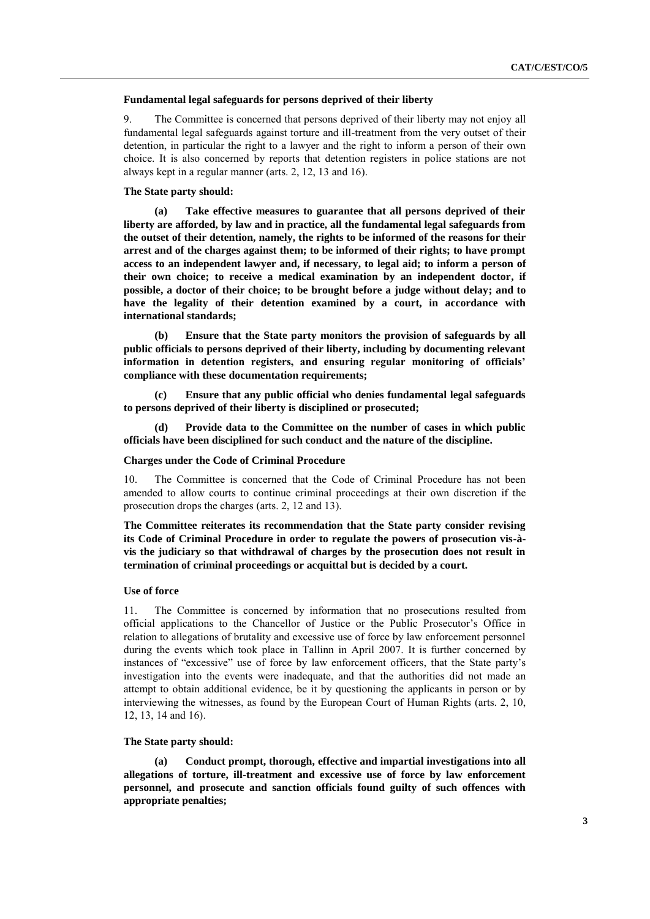#### **Fundamental legal safeguards for persons deprived of their liberty**

9. The Committee is concerned that persons deprived of their liberty may not enjoy all fundamental legal safeguards against torture and ill-treatment from the very outset of their detention, in particular the right to a lawyer and the right to inform a person of their own choice. It is also concerned by reports that detention registers in police stations are not always kept in a regular manner (arts. 2, 12, 13 and 16).

## **The State party should:**

**(a) Take effective measures to guarantee that all persons deprived of their liberty are afforded, by law and in practice, all the fundamental legal safeguards from the outset of their detention, namely, the rights to be informed of the reasons for their arrest and of the charges against them; to be informed of their rights; to have prompt access to an independent lawyer and, if necessary, to legal aid; to inform a person of their own choice; to receive a medical examination by an independent doctor, if possible, a doctor of their choice; to be brought before a judge without delay; and to have the legality of their detention examined by a court, in accordance with international standards;**

**(b) Ensure that the State party monitors the provision of safeguards by all public officials to persons deprived of their liberty, including by documenting relevant information in detention registers, and ensuring regular monitoring of officials' compliance with these documentation requirements;**

**(c) Ensure that any public official who denies fundamental legal safeguards to persons deprived of their liberty is disciplined or prosecuted;**

**(d) Provide data to the Committee on the number of cases in which public officials have been disciplined for such conduct and the nature of the discipline.**

## **Charges under the Code of Criminal Procedure**

10. The Committee is concerned that the Code of Criminal Procedure has not been amended to allow courts to continue criminal proceedings at their own discretion if the prosecution drops the charges (arts. 2, 12 and 13).

**The Committee reiterates its recommendation that the State party consider revising its Code of Criminal Procedure in order to regulate the powers of prosecution vis-àvis the judiciary so that withdrawal of charges by the prosecution does not result in termination of criminal proceedings or acquittal but is decided by a court.**

### **Use of force**

11. The Committee is concerned by information that no prosecutions resulted from official applications to the Chancellor of Justice or the Public Prosecutor's Office in relation to allegations of brutality and excessive use of force by law enforcement personnel during the events which took place in Tallinn in April 2007. It is further concerned by instances of "excessive" use of force by law enforcement officers, that the State party's investigation into the events were inadequate, and that the authorities did not made an attempt to obtain additional evidence, be it by questioning the applicants in person or by interviewing the witnesses, as found by the European Court of Human Rights (arts. 2, 10, 12, 13, 14 and 16).

#### **The State party should:**

**(a) Conduct prompt, thorough, effective and impartial investigations into all allegations of torture, ill-treatment and excessive use of force by law enforcement personnel, and prosecute and sanction officials found guilty of such offences with appropriate penalties;**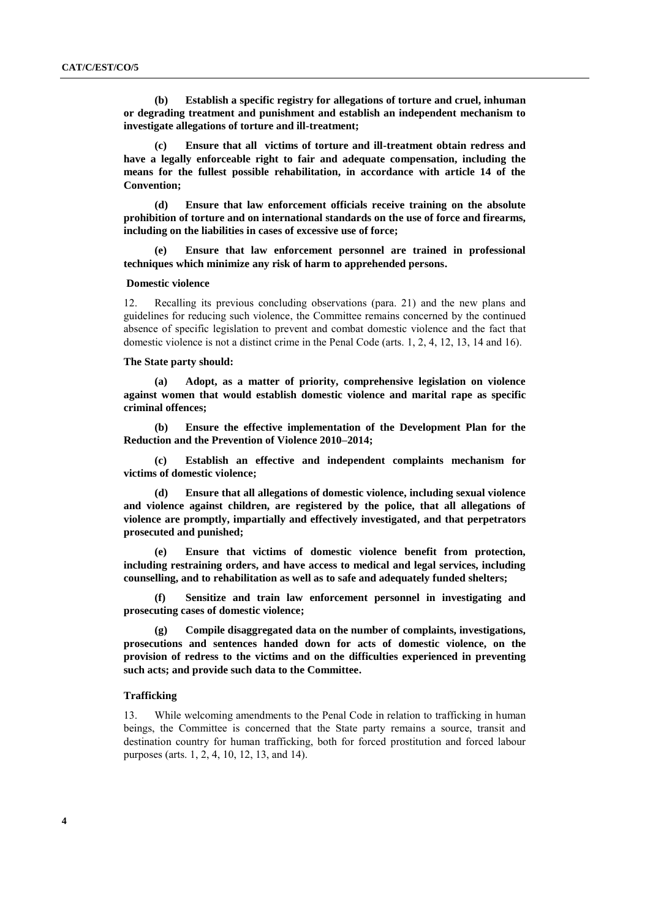**(b) Establish a specific registry for allegations of torture and cruel, inhuman or degrading treatment and punishment and establish an independent mechanism to investigate allegations of torture and ill-treatment;**

**(c) Ensure that all victims of torture and ill-treatment obtain redress and have a legally enforceable right to fair and adequate compensation, including the means for the fullest possible rehabilitation, in accordance with article 14 of the Convention;**

**(d) Ensure that law enforcement officials receive training on the absolute prohibition of torture and on international standards on the use of force and firearms, including on the liabilities in cases of excessive use of force;** 

**(e) Ensure that law enforcement personnel are trained in professional techniques which minimize any risk of harm to apprehended persons.**

#### **Domestic violence**

12. Recalling its previous concluding observations (para. 21) and the new plans and guidelines for reducing such violence, the Committee remains concerned by the continued absence of specific legislation to prevent and combat domestic violence and the fact that domestic violence is not a distinct crime in the Penal Code (arts. 1, 2, 4, 12, 13, 14 and 16).

## **The State party should:**

**(a) Adopt, as a matter of priority, comprehensive legislation on violence against women that would establish domestic violence and marital rape as specific criminal offences;**

**(b) Ensure the effective implementation of the Development Plan for the Reduction and the Prevention of Violence 2010–2014;** 

**(c) Establish an effective and independent complaints mechanism for victims of domestic violence;**

**(d) Ensure that all allegations of domestic violence, including sexual violence and violence against children, are registered by the police, that all allegations of violence are promptly, impartially and effectively investigated, and that perpetrators prosecuted and punished;**

**(e) Ensure that victims of domestic violence benefit from protection, including restraining orders, and have access to medical and legal services, including counselling, and to rehabilitation as well as to safe and adequately funded shelters;**

**(f) Sensitize and train law enforcement personnel in investigating and prosecuting cases of domestic violence;**

**(g) Compile disaggregated data on the number of complaints, investigations, prosecutions and sentences handed down for acts of domestic violence, on the provision of redress to the victims and on the difficulties experienced in preventing such acts; and provide such data to the Committee.** 

#### **Trafficking**

13. While welcoming amendments to the Penal Code in relation to trafficking in human beings, the Committee is concerned that the State party remains a source, transit and destination country for human trafficking, both for forced prostitution and forced labour purposes (arts. 1, 2, 4, 10, 12, 13, and 14).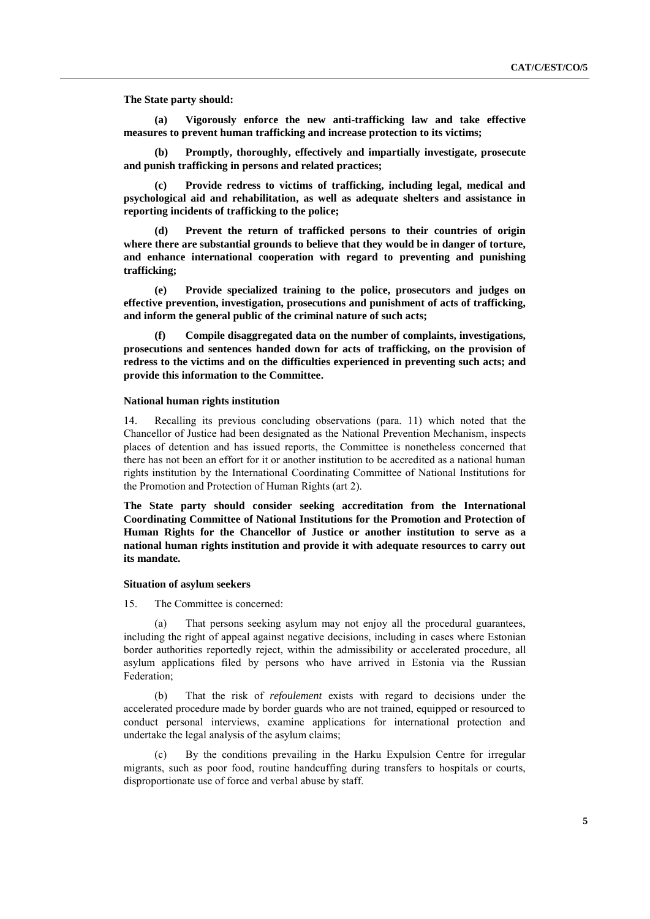**The State party should:**

**(a) Vigorously enforce the new anti-trafficking law and take effective measures to prevent human trafficking and increase protection to its victims;** 

**(b) Promptly, thoroughly, effectively and impartially investigate, prosecute and punish trafficking in persons and related practices;** 

**(c) Provide redress to victims of trafficking, including legal, medical and psychological aid and rehabilitation, as well as adequate shelters and assistance in reporting incidents of trafficking to the police;**

**(d) Prevent the return of trafficked persons to their countries of origin where there are substantial grounds to believe that they would be in danger of torture, and enhance international cooperation with regard to preventing and punishing trafficking;** 

**(e) Provide specialized training to the police, prosecutors and judges on effective prevention, investigation, prosecutions and punishment of acts of trafficking, and inform the general public of the criminal nature of such acts;** 

**(f) Compile disaggregated data on the number of complaints, investigations, prosecutions and sentences handed down for acts of trafficking, on the provision of redress to the victims and on the difficulties experienced in preventing such acts; and provide this information to the Committee.**

#### **National human rights institution**

14. Recalling its previous concluding observations (para. 11) which noted that the Chancellor of Justice had been designated as the National Prevention Mechanism, inspects places of detention and has issued reports, the Committee is nonetheless concerned that there has not been an effort for it or another institution to be accredited as a national human rights institution by the International Coordinating Committee of National Institutions for the Promotion and Protection of Human Rights (art 2).

**The State party should consider seeking accreditation from the International Coordinating Committee of National Institutions for the Promotion and Protection of Human Rights for the Chancellor of Justice or another institution to serve as a national human rights institution and provide it with adequate resources to carry out its mandate.** 

#### **Situation of asylum seekers**

15. The Committee is concerned:

(a) That persons seeking asylum may not enjoy all the procedural guarantees, including the right of appeal against negative decisions, including in cases where Estonian border authorities reportedly reject, within the admissibility or accelerated procedure, all asylum applications filed by persons who have arrived in Estonia via the Russian Federation;

(b) That the risk of *refoulement* exists with regard to decisions under the accelerated procedure made by border guards who are not trained, equipped or resourced to conduct personal interviews, examine applications for international protection and undertake the legal analysis of the asylum claims;

(c) By the conditions prevailing in the Harku Expulsion Centre for irregular migrants, such as poor food, routine handcuffing during transfers to hospitals or courts, disproportionate use of force and verbal abuse by staff.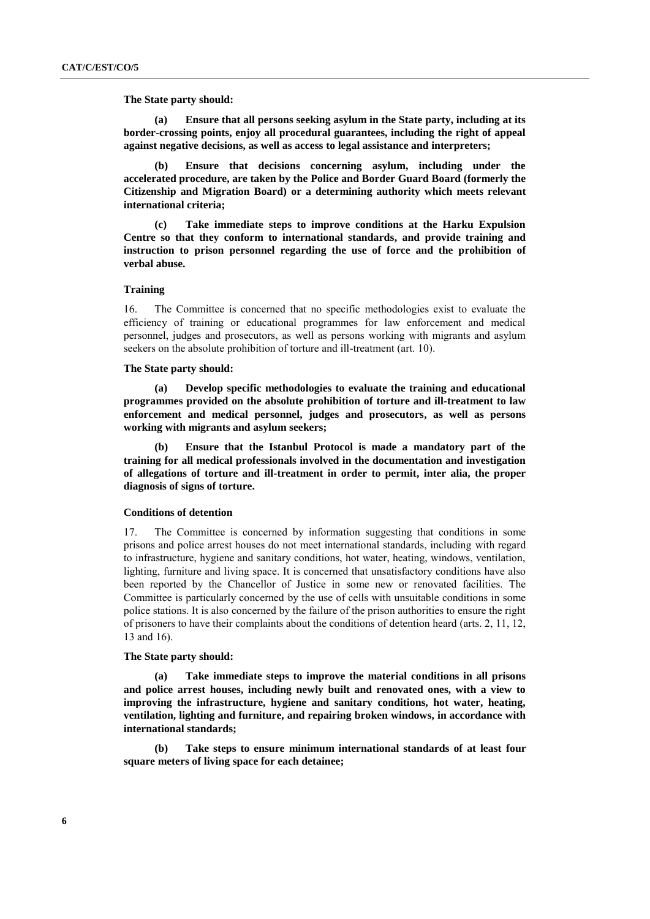**The State party should:**

**(a) Ensure that all persons seeking asylum in the State party, including at its border-crossing points, enjoy all procedural guarantees, including the right of appeal against negative decisions, as well as access to legal assistance and interpreters;**

**(b) Ensure that decisions concerning asylum, including under the accelerated procedure, are taken by the Police and Border Guard Board (formerly the Citizenship and Migration Board) or a determining authority which meets relevant international criteria;**

**(c) Take immediate steps to improve conditions at the Harku Expulsion Centre so that they conform to international standards, and provide training and instruction to prison personnel regarding the use of force and the prohibition of verbal abuse.**

### **Training**

16. The Committee is concerned that no specific methodologies exist to evaluate the efficiency of training or educational programmes for law enforcement and medical personnel, judges and prosecutors, as well as persons working with migrants and asylum seekers on the absolute prohibition of torture and ill-treatment (art. 10).

#### **The State party should:**

**(a) Develop specific methodologies to evaluate the training and educational programmes provided on the absolute prohibition of torture and ill-treatment to law enforcement and medical personnel, judges and prosecutors, as well as persons working with migrants and asylum seekers;**

**(b) Ensure that the Istanbul Protocol is made a mandatory part of the training for all medical professionals involved in the documentation and investigation of allegations of torture and ill-treatment in order to permit, inter alia, the proper diagnosis of signs of torture.**

### **Conditions of detention**

17. The Committee is concerned by information suggesting that conditions in some prisons and police arrest houses do not meet international standards, including with regard to infrastructure, hygiene and sanitary conditions, hot water, heating, windows, ventilation, lighting, furniture and living space. It is concerned that unsatisfactory conditions have also been reported by the Chancellor of Justice in some new or renovated facilities. The Committee is particularly concerned by the use of cells with unsuitable conditions in some police stations. It is also concerned by the failure of the prison authorities to ensure the right of prisoners to have their complaints about the conditions of detention heard (arts. 2, 11, 12, 13 and 16).

#### **The State party should:**

**(a) Take immediate steps to improve the material conditions in all prisons and police arrest houses, including newly built and renovated ones, with a view to improving the infrastructure, hygiene and sanitary conditions, hot water, heating, ventilation, lighting and furniture, and repairing broken windows, in accordance with international standards;**

**(b) Take steps to ensure minimum international standards of at least four square meters of living space for each detainee;**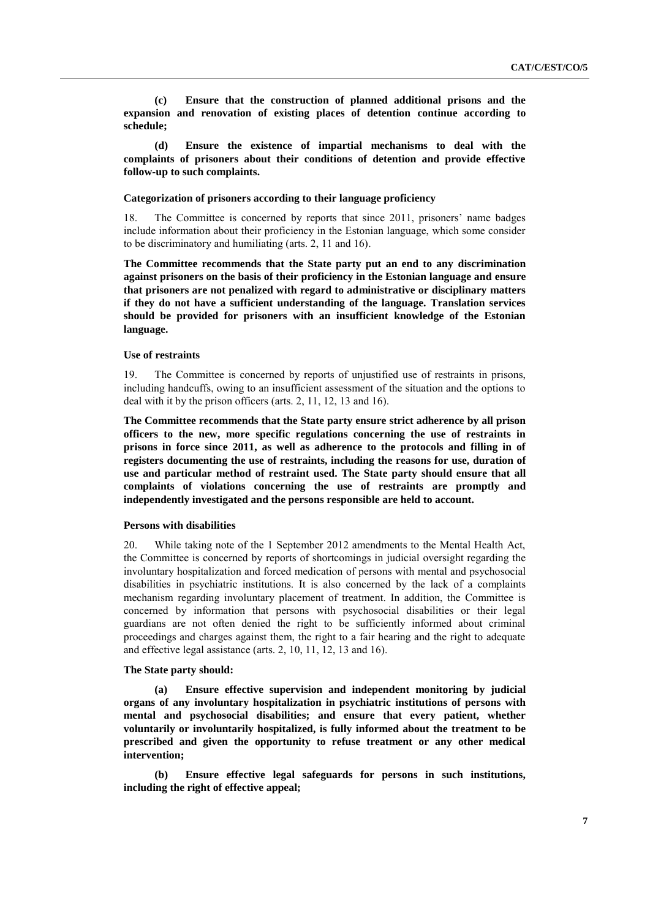**(c) Ensure that the construction of planned additional prisons and the expansion and renovation of existing places of detention continue according to schedule;**

**(d) Ensure the existence of impartial mechanisms to deal with the complaints of prisoners about their conditions of detention and provide effective follow-up to such complaints.**

## **Categorization of prisoners according to their language proficiency**

18. The Committee is concerned by reports that since 2011, prisoners' name badges include information about their proficiency in the Estonian language, which some consider to be discriminatory and humiliating (arts. 2, 11 and 16).

**The Committee recommends that the State party put an end to any discrimination against prisoners on the basis of their proficiency in the Estonian language and ensure that prisoners are not penalized with regard to administrative or disciplinary matters if they do not have a sufficient understanding of the language. Translation services should be provided for prisoners with an insufficient knowledge of the Estonian language.**

#### **Use of restraints**

19. The Committee is concerned by reports of unjustified use of restraints in prisons, including handcuffs, owing to an insufficient assessment of the situation and the options to deal with it by the prison officers (arts. 2, 11, 12, 13 and 16).

**The Committee recommends that the State party ensure strict adherence by all prison officers to the new, more specific regulations concerning the use of restraints in prisons in force since 2011, as well as adherence to the protocols and filling in of registers documenting the use of restraints, including the reasons for use, duration of use and particular method of restraint used. The State party should ensure that all complaints of violations concerning the use of restraints are promptly and independently investigated and the persons responsible are held to account.**

## **Persons with disabilities**

20. While taking note of the 1 September 2012 amendments to the Mental Health Act, the Committee is concerned by reports of shortcomings in judicial oversight regarding the involuntary hospitalization and forced medication of persons with mental and psychosocial disabilities in psychiatric institutions. It is also concerned by the lack of a complaints mechanism regarding involuntary placement of treatment. In addition, the Committee is concerned by information that persons with psychosocial disabilities or their legal guardians are not often denied the right to be sufficiently informed about criminal proceedings and charges against them, the right to a fair hearing and the right to adequate and effective legal assistance (arts. 2, 10, 11, 12, 13 and 16).

#### **The State party should:**

**(a) Ensure effective supervision and independent monitoring by judicial organs of any involuntary hospitalization in psychiatric institutions of persons with mental and psychosocial disabilities; and ensure that every patient, whether voluntarily or involuntarily hospitalized, is fully informed about the treatment to be prescribed and given the opportunity to refuse treatment or any other medical intervention;**

**(b) Ensure effective legal safeguards for persons in such institutions, including the right of effective appeal;**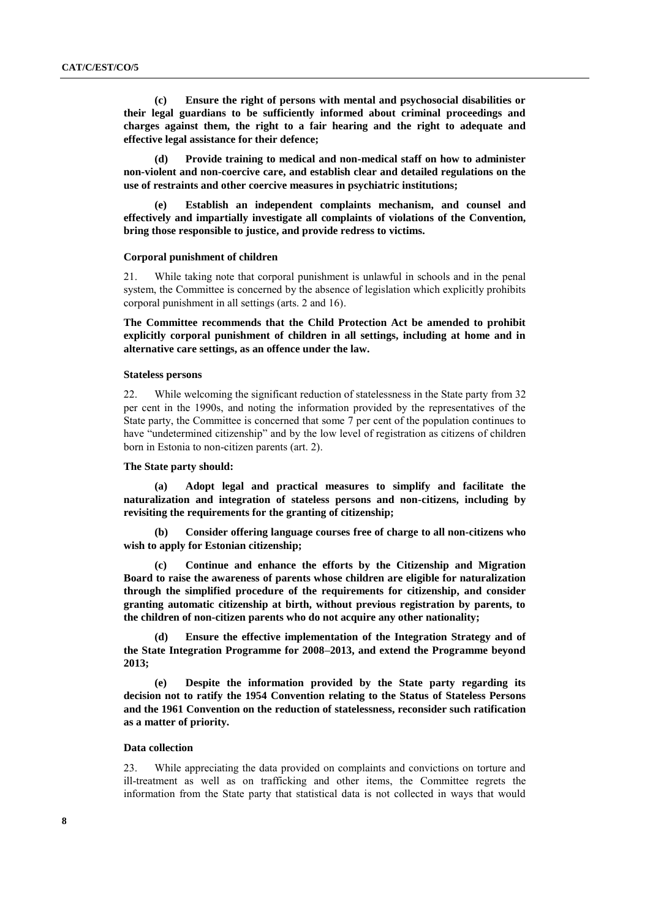**(c) Ensure the right of persons with mental and psychosocial disabilities or their legal guardians to be sufficiently informed about criminal proceedings and charges against them, the right to a fair hearing and the right to adequate and effective legal assistance for their defence;**

**(d) Provide training to medical and non-medical staff on how to administer non-violent and non-coercive care, and establish clear and detailed regulations on the use of restraints and other coercive measures in psychiatric institutions;**

**(e) Establish an independent complaints mechanism, and counsel and effectively and impartially investigate all complaints of violations of the Convention, bring those responsible to justice, and provide redress to victims.**

#### **Corporal punishment of children**

21. While taking note that corporal punishment is unlawful in schools and in the penal system, the Committee is concerned by the absence of legislation which explicitly prohibits corporal punishment in all settings (arts. 2 and 16).

**The Committee recommends that the Child Protection Act be amended to prohibit explicitly corporal punishment of children in all settings, including at home and in alternative care settings, as an offence under the law.**

#### **Stateless persons**

22. While welcoming the significant reduction of statelessness in the State party from 32 per cent in the 1990s, and noting the information provided by the representatives of the State party, the Committee is concerned that some 7 per cent of the population continues to have "undetermined citizenship" and by the low level of registration as citizens of children born in Estonia to non-citizen parents (art. 2).

#### **The State party should:**

**(a) Adopt legal and practical measures to simplify and facilitate the naturalization and integration of stateless persons and non-citizens, including by revisiting the requirements for the granting of citizenship;**

**(b) Consider offering language courses free of charge to all non-citizens who wish to apply for Estonian citizenship;**

**(c) Continue and enhance the efforts by the Citizenship and Migration Board to raise the awareness of parents whose children are eligible for naturalization through the simplified procedure of the requirements for citizenship, and consider granting automatic citizenship at birth, without previous registration by parents, to the children of non-citizen parents who do not acquire any other nationality;**

**(d) Ensure the effective implementation of the Integration Strategy and of the State Integration Programme for 2008–2013, and extend the Programme beyond 2013;**

**(e) Despite the information provided by the State party regarding its decision not to ratify the 1954 Convention relating to the Status of Stateless Persons and the 1961 Convention on the reduction of statelessness, reconsider such ratification as a matter of priority.**

### **Data collection**

23. While appreciating the data provided on complaints and convictions on torture and ill-treatment as well as on trafficking and other items, the Committee regrets the information from the State party that statistical data is not collected in ways that would